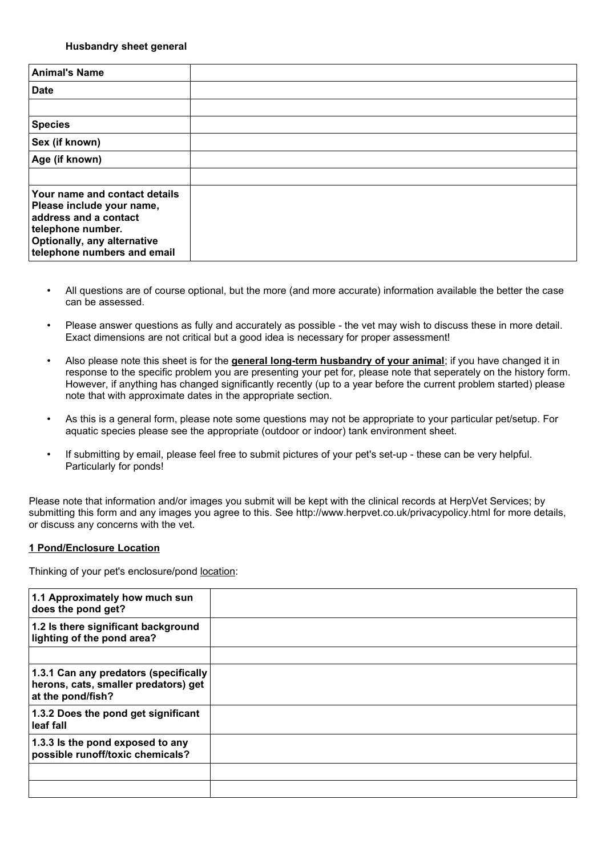#### **Husbandry sheet general**

| <b>Animal's Name</b>                                                                                                                                                          |  |
|-------------------------------------------------------------------------------------------------------------------------------------------------------------------------------|--|
| <b>Date</b>                                                                                                                                                                   |  |
|                                                                                                                                                                               |  |
| <b>Species</b>                                                                                                                                                                |  |
| Sex (if known)                                                                                                                                                                |  |
| Age (if known)                                                                                                                                                                |  |
|                                                                                                                                                                               |  |
| Your name and contact details<br>Please include your name,<br>address and a contact<br>telephone number.<br><b>Optionally, any alternative</b><br>telephone numbers and email |  |

- All questions are of course optional, but the more (and more accurate) information available the better the case can be assessed.
- Please answer questions as fully and accurately as possible the vet may wish to discuss these in more detail. Exact dimensions are not critical but a good idea is necessary for proper assessment!
- Also please note this sheet is for the **general long-term husbandry of your animal**; if you have changed it in response to the specific problem you are presenting your pet for, please note that seperately on the history form. However, if anything has changed significantly recently (up to a year before the current problem started) please note that with approximate dates in the appropriate section.
- As this is a general form, please note some questions may not be appropriate to your particular pet/setup. For aquatic species please see the appropriate (outdoor or indoor) tank environment sheet.
- If submitting by email, please feel free to submit pictures of your pet's set-up these can be very helpful. Particularly for ponds!

Please note that information and/or images you submit will be kept with the clinical records at HerpVet Services; by submitting this form and any images you agree to this. See http://www.herpvet.co.uk/privacypolicy.html for more details, or discuss any concerns with the vet.

### **1 Pond/Enclosure Location**

Thinking of your pet's enclosure/pond location:

| 1.1 Approximately how much sun<br>does the pond get?                                               |  |
|----------------------------------------------------------------------------------------------------|--|
| 1.2 Is there significant background<br>lighting of the pond area?                                  |  |
|                                                                                                    |  |
| 1.3.1 Can any predators (specifically<br>herons, cats, smaller predators) get<br>at the pond/fish? |  |
| 1.3.2 Does the pond get significant<br>leaf fall                                                   |  |
| 1.3.3 Is the pond exposed to any<br>possible runoff/toxic chemicals?                               |  |
|                                                                                                    |  |
|                                                                                                    |  |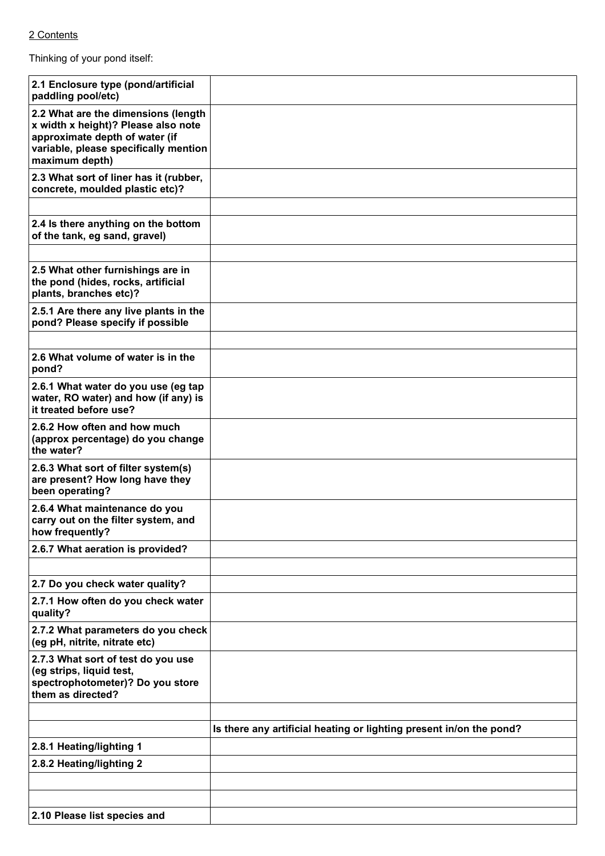# 2 Contents

Thinking of your pond itself:

| 2.1 Enclosure type (pond/artificial<br>paddling pool/etc)                                                                                                               |                                                                     |
|-------------------------------------------------------------------------------------------------------------------------------------------------------------------------|---------------------------------------------------------------------|
| 2.2 What are the dimensions (length<br>x width x height)? Please also note<br>approximate depth of water (if<br>variable, please specifically mention<br>maximum depth) |                                                                     |
| 2.3 What sort of liner has it (rubber,<br>concrete, moulded plastic etc)?                                                                                               |                                                                     |
|                                                                                                                                                                         |                                                                     |
| 2.4 Is there anything on the bottom<br>of the tank, eg sand, gravel)                                                                                                    |                                                                     |
|                                                                                                                                                                         |                                                                     |
| 2.5 What other furnishings are in<br>the pond (hides, rocks, artificial<br>plants, branches etc)?                                                                       |                                                                     |
| 2.5.1 Are there any live plants in the<br>pond? Please specify if possible                                                                                              |                                                                     |
|                                                                                                                                                                         |                                                                     |
| 2.6 What volume of water is in the<br>pond?                                                                                                                             |                                                                     |
| 2.6.1 What water do you use (eg tap<br>water, RO water) and how (if any) is<br>it treated before use?                                                                   |                                                                     |
| 2.6.2 How often and how much<br>(approx percentage) do you change<br>the water?                                                                                         |                                                                     |
| 2.6.3 What sort of filter system(s)<br>are present? How long have they<br>been operating?                                                                               |                                                                     |
| 2.6.4 What maintenance do you<br>carry out on the filter system, and<br>how frequently?                                                                                 |                                                                     |
| 2.6.7 What aeration is provided?                                                                                                                                        |                                                                     |
|                                                                                                                                                                         |                                                                     |
| 2.7 Do you check water quality?                                                                                                                                         |                                                                     |
| 2.7.1 How often do you check water<br>quality?                                                                                                                          |                                                                     |
| 2.7.2 What parameters do you check<br>(eg pH, nitrite, nitrate etc)                                                                                                     |                                                                     |
| 2.7.3 What sort of test do you use<br>(eg strips, liquid test,<br>spectrophotometer)? Do you store<br>them as directed?                                                 |                                                                     |
|                                                                                                                                                                         |                                                                     |
|                                                                                                                                                                         | Is there any artificial heating or lighting present in/on the pond? |
| 2.8.1 Heating/lighting 1                                                                                                                                                |                                                                     |
| 2.8.2 Heating/lighting 2                                                                                                                                                |                                                                     |
|                                                                                                                                                                         |                                                                     |
|                                                                                                                                                                         |                                                                     |
| 2.10 Please list species and                                                                                                                                            |                                                                     |